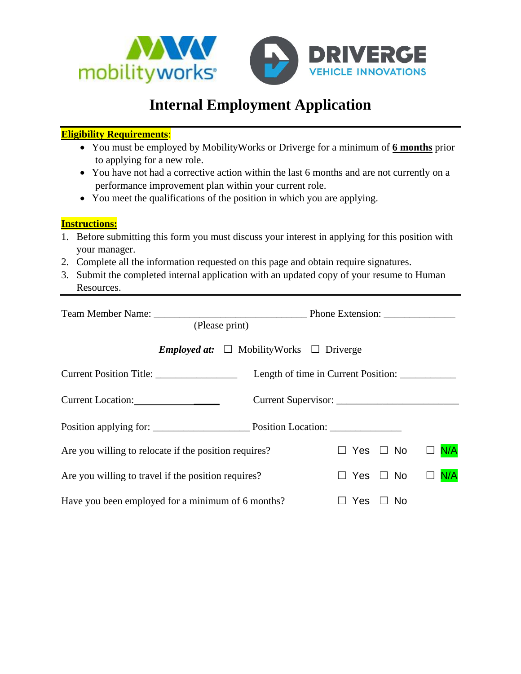

## **Internal Employment Application**

## **Eligibility Requirements**:

- You must be employed by MobilityWorks or Driverge for a minimum of **6 months** prior to applying for a new role.
- You have not had a corrective action within the last 6 months and are not currently on a performance improvement plan within your current role.
- You meet the qualifications of the position in which you are applying.

## **Instructions:**

- 1. Before submitting this form you must discuss your interest in applying for this position with your manager.
- 2. Complete all the information requested on this page and obtain require signatures.
- 3. Submit the completed internal application with an updated copy of your resume to Human Resources.

| (Please print)                                           |                                     |                      | Phone Extension: |     |
|----------------------------------------------------------|-------------------------------------|----------------------|------------------|-----|
| <b>Employed at:</b> $\Box$ MobilityWorks $\Box$ Driverge |                                     |                      |                  |     |
|                                                          | Length of time in Current Position: |                      |                  |     |
| Current Location:                                        |                                     |                      |                  |     |
|                                                          |                                     |                      |                  |     |
| Are you willing to relocate if the position requires?    |                                     |                      | Yes $\Box$ No    | N/A |
| Are you willing to travel if the position requires?      |                                     | $\Box$ Yes $\Box$ No |                  | N/A |
| Have you been employed for a minimum of 6 months?        |                                     | Yes                  | $\Box$ No        |     |